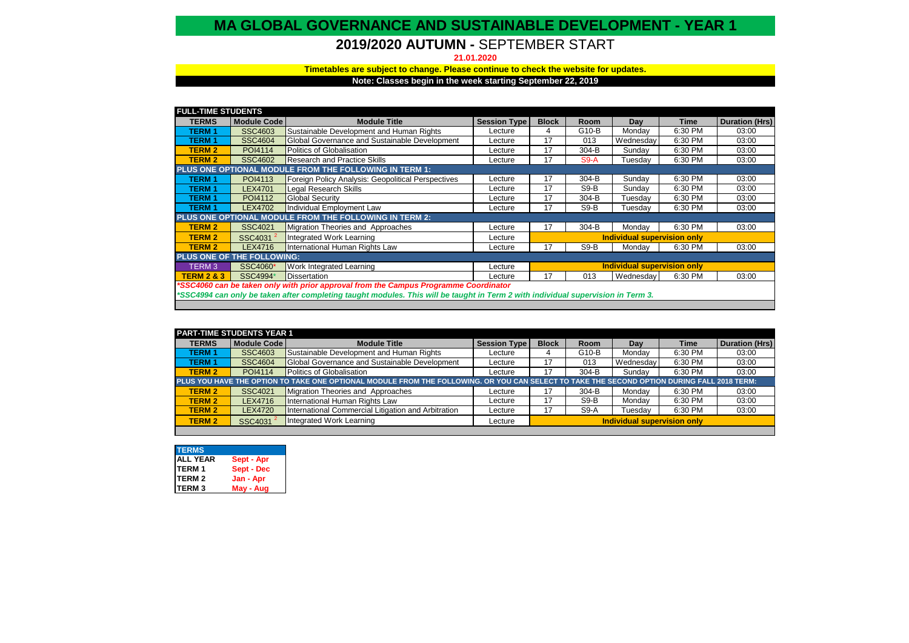## **MA GLOBAL GOVERNANCE AND SUSTAINABLE DEVELOPMENT - YEAR 1**

# **2019/2020 AUTUMN -** SEPTEMBER START

**21.01.2020**

### **Timetables are subject to change. Please continue to check the website for updates.**

**Note: Classes begin in the week starting September 22, 2019** 

| <b>FULL-TIME STUDENTS</b>                                                                                                        |                      |                                                           |                     |                             |         |                             |         |                       |
|----------------------------------------------------------------------------------------------------------------------------------|----------------------|-----------------------------------------------------------|---------------------|-----------------------------|---------|-----------------------------|---------|-----------------------|
| <b>TERMS</b>                                                                                                                     | <b>Module Code</b>   | <b>Module Title</b>                                       | <b>Session Type</b> | <b>Block</b>                | Room    | Day                         | Time    | <b>Duration (Hrs)</b> |
| <b>TERM 1</b>                                                                                                                    | SSC4603              | Sustainable Development and Human Rights                  | Lecture             | 4                           | G10-B   | Monday                      | 6:30 PM | 03:00                 |
| <b>TERM1</b>                                                                                                                     | <b>SSC4604</b>       | Global Governance and Sustainable Development             | Lecture             | 17                          | 013     | Wednesday                   | 6:30 PM | 03:00                 |
| <b>TERM 2</b>                                                                                                                    | POI4114              | Politics of Globalisation                                 | Lecture             | 17                          | $304-B$ | Sundav                      | 6:30 PM | 03:00                 |
| <b>TERM 2</b>                                                                                                                    | <b>SSC4602</b>       | Research and Practice Skills                              | Lecture             | 17                          | S9-A    | Tuesday                     | 6:30 PM | 03:00                 |
| PLUS ONE OPTIONAL MODULE FROM THE FOLLOWING IN TERM 1:                                                                           |                      |                                                           |                     |                             |         |                             |         |                       |
| <b>TERM 1</b>                                                                                                                    | POI4113              | <b>Foreign Policy Analysis: Geopolitical Perspectives</b> | Lecture             | 17                          | $304-B$ | Sunday                      | 6:30 PM | 03:00                 |
| <b>TERM1</b>                                                                                                                     | <b>LEX4701</b>       | <b>Legal Research Skills</b>                              | Lecture             | 17                          | $S9-B$  | Sunday                      | 6:30 PM | 03:00                 |
| <b>TERM1</b>                                                                                                                     | POI4112              | <b>Global Security</b>                                    | Lecture             | 17                          | $304-B$ | Tuesday                     | 6:30 PM | 03:00                 |
| <b>TERM1</b>                                                                                                                     | <b>LEX4702</b>       | Individual Employment Law                                 | Lecture             | 17                          | $S9-B$  | Tuesdav                     | 6:30 PM | 03:00                 |
| <b>PLUS ONE OPTIONAL MODULE FROM THE FOLLOWING IN TERM 2:</b>                                                                    |                      |                                                           |                     |                             |         |                             |         |                       |
| <b>TERM 2</b>                                                                                                                    | <b>SSC4021</b>       | Migration Theories and Approaches                         | Lecture             | 17                          | $304-B$ | Mondav                      | 6:30 PM | 03:00                 |
| <b>TERM 2</b>                                                                                                                    | SSC4031 <sup>2</sup> | Integrated Work Learning                                  | Lecture             | Individual supervision only |         |                             |         |                       |
| <b>TERM 2</b>                                                                                                                    | LEX4716              | International Human Rights Law                            | Lecture             | 17                          | $S9-B$  | Monday                      | 6:30 PM | 03:00                 |
| PLUS ONE OF THE FOLLOWING:                                                                                                       |                      |                                                           |                     |                             |         |                             |         |                       |
| TERM <sub>3</sub>                                                                                                                | SSC4060*             | <b>Work Integrated Learning</b>                           | Lecture             |                             |         | Individual supervision only |         |                       |
| <b>TERM 2 &amp; 3</b>                                                                                                            | SSC4994*             | <b>Dissertation</b>                                       | Lecture             | 17                          | 013     | Wednesday                   | 6:30 PM | 03:00                 |
| *SSC4060 can be taken only with prior approval from the Campus Programme Coordinator                                             |                      |                                                           |                     |                             |         |                             |         |                       |
| *SSC4994 can only be taken after completing taught modules. This will be taught in Term 2 with individual supervision in Term 3. |                      |                                                           |                     |                             |         |                             |         |                       |
|                                                                                                                                  |                      |                                                           |                     |                             |         |                             |         |                       |

| <b>PART-TIME STUDENTS YEAR 1</b>                                                                                                            |                |                                                     |                     |                             |             |           |             |                       |
|---------------------------------------------------------------------------------------------------------------------------------------------|----------------|-----------------------------------------------------|---------------------|-----------------------------|-------------|-----------|-------------|-----------------------|
| <b>TERMS</b>                                                                                                                                | Module Code    | <b>Module Title</b>                                 | <b>Session Type</b> | <b>Block</b>                | <b>Room</b> | Day       | <b>Time</b> | <b>Duration (Hrs)</b> |
| <b>TERM1</b>                                                                                                                                | <b>SSC4603</b> | Sustainable Development and Human Rights            | Lecture             |                             | G10-B       | Monday    | 6:30 PM     | 03:00                 |
| <b>TERM1</b>                                                                                                                                | <b>SSC4604</b> | Global Governance and Sustainable Development       | Lecture             | 17                          | 013         | Wednesday | 6:30 PM     | 03:00                 |
| <b>TERM 2</b>                                                                                                                               | POI4114        | Politics of Globalisation                           | Lecture             | 17                          | 304-B       | Sundav    | 6:30 PM     | 03:00                 |
| PLUS YOU HAVE THE OPTION TO TAKE ONE OPTIONAL MODULE FROM THE FOLLOWING. OR YOU CAN SELECT TO TAKE THE SECOND OPTION DURING FALL 2018 TERM: |                |                                                     |                     |                             |             |           |             |                       |
| <b>TERM 2</b>                                                                                                                               | <b>SSC4021</b> | Migration Theories and Approaches                   | Lecture             | 17                          | 304-B       | Mondav    | 6:30 PM     | 03:00                 |
| <b>TERM 2</b>                                                                                                                               | LEX4716        | International Human Rights Law                      | Lecture             | 17                          | S9-B        | Mondav    | 6:30 PM     | 03:00                 |
| <b>TERM 2</b>                                                                                                                               | <b>LEX4720</b> | International Commercial Litigation and Arbitration | Lecture             | 17                          | S9-A        | Tuesdav   | 6:30 PM     | 03:00                 |
| <b>TERM 2</b>                                                                                                                               | SSC4031        | Integrated Work Learning                            | Lecture             | Individual supervision only |             |           |             |                       |
|                                                                                                                                             |                |                                                     |                     |                             |             |           |             |                       |

| <b>TERMS</b>    |            |
|-----------------|------------|
| <b>ALL YEAR</b> | Sept - Apr |
| <b>TERM1</b>    | Sept - Dec |
| <b>TERM 2</b>   | Jan - Apr  |
| <b>TERM3</b>    | May - Aug  |